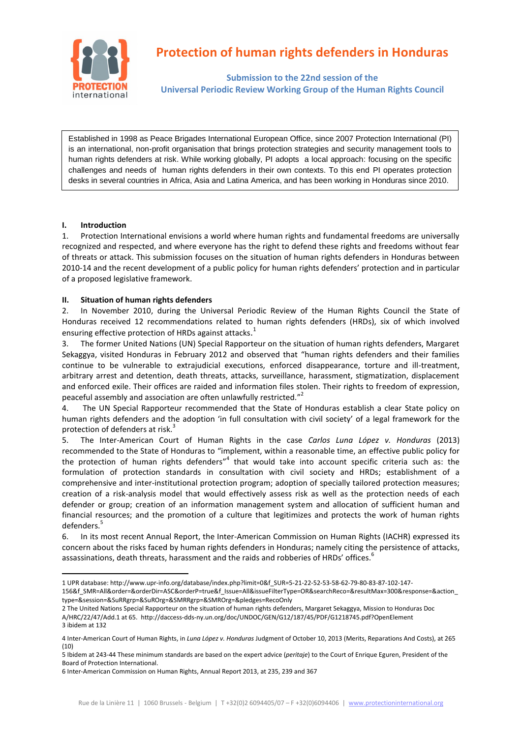

# **Protection of human rights defenders in Honduras**

**Submission to the 22nd session of the Universal Periodic Review Working Group of the Human Rights Council**

Established in 1998 as Peace Brigades International European Office, since 2007 Protection International (PI) is an international, non-profit organisation that brings protection strategies and security management tools to human rights defenders at risk. While working globally, PI adopts a local approach: focusing on the specific challenges and needs of human rights defenders in their own contexts. To this end PI operates protection desks in several countries in Africa, Asia and Latina America, and has been working in Honduras since 2010.

### **I. Introduction**

**.** 

1. Protection International envisions a world where human rights and fundamental freedoms are universally recognized and respected, and where everyone has the right to defend these rights and freedoms without fear of threats or attack. This submission focuses on the situation of human rights defenders in Honduras between 2010-14 and the recent development of a public policy for human rights defenders' protection and in particular of a proposed legislative framework.

## **II. Situation of human rights defenders**

2. In November 2010, during the Universal Periodic Review of the Human Rights Council the State of Honduras received 12 recommendations related to human rights defenders (HRDs), six of which involved ensuring effective protection of HRDs against attacks.<sup>1</sup>

3. The former United Nations (UN) Special Rapporteur on the situation of human rights defenders, Margaret Sekaggya, visited Honduras in February 2012 and observed that "human rights defenders and their families continue to be vulnerable to extrajudicial executions, enforced disappearance, torture and ill-treatment, arbitrary arrest and detention, death threats, attacks, surveillance, harassment, stigmatization, displacement and enforced exile. Their offices are raided and information files stolen. Their rights to freedom of expression, peaceful assembly and association are often unlawfully restricted."<sup>2</sup>

4. The UN Special Rapporteur recommended that the State of Honduras establish a clear State policy on human rights defenders and the adoption 'in full consultation with civil society' of a legal framework for the protection of defenders at risk.<sup>3</sup>

5. The Inter-American Court of Human Rights in the case *Carlos Luna López v. Honduras* (2013) recommended to the State of Honduras to "implement, within a reasonable time, an effective public policy for the protection of human rights defenders"<sup>4</sup> that would take into account specific criteria such as: the formulation of protection standards in consultation with civil society and HRDs; establishment of a comprehensive and inter-institutional protection program; adoption of specially tailored protection measures; creation of a risk-analysis model that would effectively assess risk as well as the protection needs of each defender or group; creation of an information management system and allocation of sufficient human and financial resources; and the promotion of a culture that legitimizes and protects the work of human rights defenders.<sup>5</sup>

6. In its most recent Annual Report, the Inter-American Commission on Human Rights (IACHR) expressed its concern about the risks faced by human rights defenders in Honduras; namely citing the persistence of attacks, assassinations, death threats, harassment and the raids and robberies of HRDs' offices.<sup>6</sup>

<sup>1</sup> UPR database: http://www.upr-info.org/database/index.php?limit=0&f\_SUR=5-21-22-52-53-58-62-79-80-83-87-102-147- 156&f\_SMR=All&order=&orderDir=ASC&orderP=true&f\_Issue=All&issueFilterType=OR&searchReco=&resultMax=300&response=&action\_ type=&session=&SuRRgrp=&SuROrg=&SMRRgrp=&SMROrg=&pledges=RecoOnly

<sup>2</sup> The United Nations Special Rapporteur on the situation of human rights defenders, Margaret Sekaggya, Mission to Honduras Doc A/HRC/22/47/Add.1 at 65.<http://daccess-dds-ny.un.org/doc/UNDOC/GEN/G12/187/45/PDF/G1218745.pdf?OpenElement> 3 ibidem at 132

<sup>4</sup> Inter-American Court of Human Rights, in *Luna López v. Honduras* Judgment of October 10, 2013 (Merits, Reparations And Costs), at 265 (10)

<sup>5</sup> Ibidem at 243-44 These minimum standards are based on the expert advice (*peritaje*) to the Court of Enrique Eguren, President of the Board of Protection International.

<sup>6</sup> Inter-American Commission on Human Rights, Annual Report 2013, at 235, 239 and 367